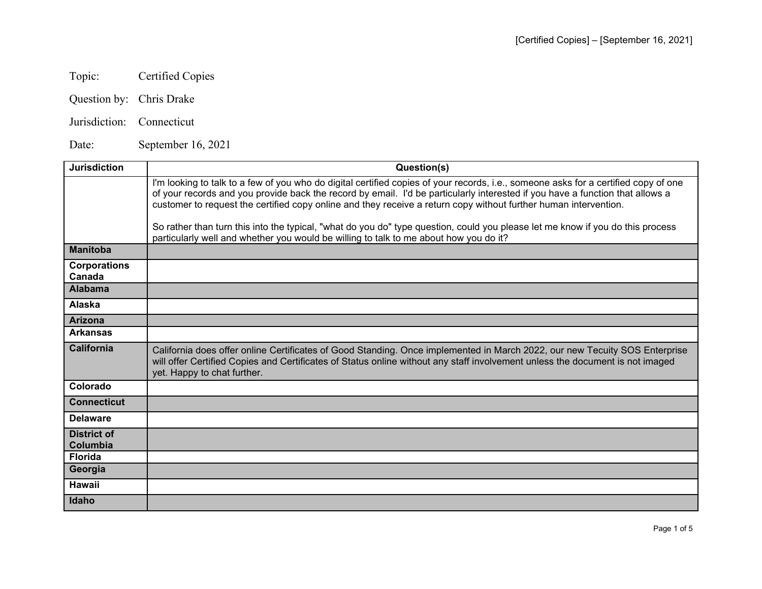## Topic: Certified Copies

- Question by: Chris Drake
- Jurisdiction: Connecticut

Date: September 16, 2021

| <b>Jurisdiction</b>            | Question(s)                                                                                                                                                                                                                                                                                                                                                                              |
|--------------------------------|------------------------------------------------------------------------------------------------------------------------------------------------------------------------------------------------------------------------------------------------------------------------------------------------------------------------------------------------------------------------------------------|
|                                | I'm looking to talk to a few of you who do digital certified copies of your records, i.e., someone asks for a certified copy of one<br>of your records and you provide back the record by email. I'd be particularly interested if you have a function that allows a<br>customer to request the certified copy online and they receive a return copy without further human intervention. |
|                                | So rather than turn this into the typical, "what do you do" type question, could you please let me know if you do this process<br>particularly well and whether you would be willing to talk to me about how you do it?                                                                                                                                                                  |
| <b>Manitoba</b>                |                                                                                                                                                                                                                                                                                                                                                                                          |
| <b>Corporations</b><br>Canada  |                                                                                                                                                                                                                                                                                                                                                                                          |
| <b>Alabama</b>                 |                                                                                                                                                                                                                                                                                                                                                                                          |
| <b>Alaska</b>                  |                                                                                                                                                                                                                                                                                                                                                                                          |
| <b>Arizona</b>                 |                                                                                                                                                                                                                                                                                                                                                                                          |
| <b>Arkansas</b>                |                                                                                                                                                                                                                                                                                                                                                                                          |
| <b>California</b>              | California does offer online Certificates of Good Standing. Once implemented in March 2022, our new Tecuity SOS Enterprise<br>will offer Certified Copies and Certificates of Status online without any staff involvement unless the document is not imaged<br>yet. Happy to chat further.                                                                                               |
| Colorado                       |                                                                                                                                                                                                                                                                                                                                                                                          |
| <b>Connecticut</b>             |                                                                                                                                                                                                                                                                                                                                                                                          |
| <b>Delaware</b>                |                                                                                                                                                                                                                                                                                                                                                                                          |
| <b>District of</b><br>Columbia |                                                                                                                                                                                                                                                                                                                                                                                          |
| <b>Florida</b>                 |                                                                                                                                                                                                                                                                                                                                                                                          |
| Georgia                        |                                                                                                                                                                                                                                                                                                                                                                                          |
| Hawaii                         |                                                                                                                                                                                                                                                                                                                                                                                          |
| Idaho                          |                                                                                                                                                                                                                                                                                                                                                                                          |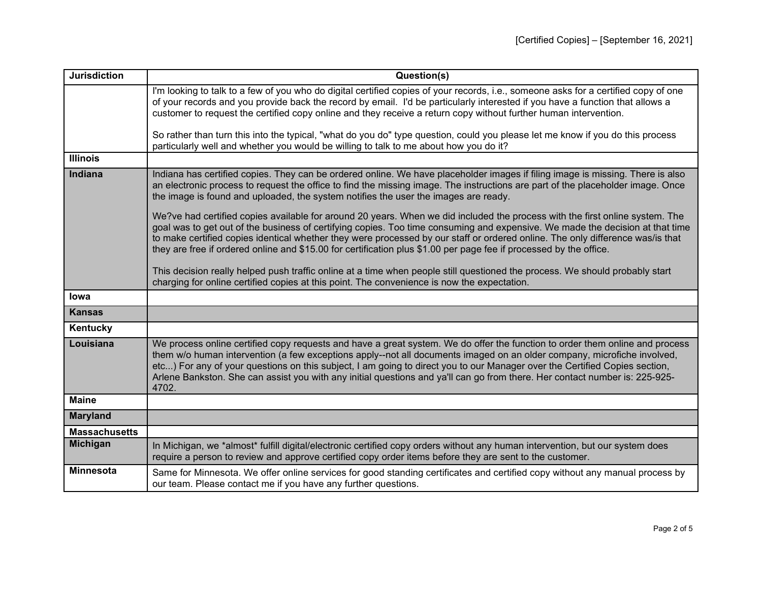| <b>Jurisdiction</b>  | Question(s)                                                                                                                                                                                                                                                                                                                                                                                                                                                                                                                   |
|----------------------|-------------------------------------------------------------------------------------------------------------------------------------------------------------------------------------------------------------------------------------------------------------------------------------------------------------------------------------------------------------------------------------------------------------------------------------------------------------------------------------------------------------------------------|
|                      | I'm looking to talk to a few of you who do digital certified copies of your records, i.e., someone asks for a certified copy of one                                                                                                                                                                                                                                                                                                                                                                                           |
|                      | of your records and you provide back the record by email. I'd be particularly interested if you have a function that allows a<br>customer to request the certified copy online and they receive a return copy without further human intervention.                                                                                                                                                                                                                                                                             |
|                      |                                                                                                                                                                                                                                                                                                                                                                                                                                                                                                                               |
|                      | So rather than turn this into the typical, "what do you do" type question, could you please let me know if you do this process                                                                                                                                                                                                                                                                                                                                                                                                |
|                      | particularly well and whether you would be willing to talk to me about how you do it?                                                                                                                                                                                                                                                                                                                                                                                                                                         |
| <b>Illinois</b>      |                                                                                                                                                                                                                                                                                                                                                                                                                                                                                                                               |
| Indiana              | Indiana has certified copies. They can be ordered online. We have placeholder images if filing image is missing. There is also<br>an electronic process to request the office to find the missing image. The instructions are part of the placeholder image. Once<br>the image is found and uploaded, the system notifies the user the images are ready.                                                                                                                                                                      |
|                      | We?ve had certified copies available for around 20 years. When we did included the process with the first online system. The<br>goal was to get out of the business of certifying copies. Too time consuming and expensive. We made the decision at that time<br>to make certified copies identical whether they were processed by our staff or ordered online. The only difference was/is that<br>they are free if ordered online and \$15.00 for certification plus \$1.00 per page fee if processed by the office.         |
|                      | This decision really helped push traffic online at a time when people still questioned the process. We should probably start<br>charging for online certified copies at this point. The convenience is now the expectation.                                                                                                                                                                                                                                                                                                   |
| lowa                 |                                                                                                                                                                                                                                                                                                                                                                                                                                                                                                                               |
| <b>Kansas</b>        |                                                                                                                                                                                                                                                                                                                                                                                                                                                                                                                               |
| Kentucky             |                                                                                                                                                                                                                                                                                                                                                                                                                                                                                                                               |
| Louisiana            | We process online certified copy requests and have a great system. We do offer the function to order them online and process<br>them w/o human intervention (a few exceptions apply--not all documents imaged on an older company, microfiche involved,<br>etc) For any of your questions on this subject, I am going to direct you to our Manager over the Certified Copies section,<br>Arlene Bankston. She can assist you with any initial questions and ya'll can go from there. Her contact number is: 225-925-<br>4702. |
| <b>Maine</b>         |                                                                                                                                                                                                                                                                                                                                                                                                                                                                                                                               |
| <b>Maryland</b>      |                                                                                                                                                                                                                                                                                                                                                                                                                                                                                                                               |
| <b>Massachusetts</b> |                                                                                                                                                                                                                                                                                                                                                                                                                                                                                                                               |
| <b>Michigan</b>      | In Michigan, we *almost* fulfill digital/electronic certified copy orders without any human intervention, but our system does<br>require a person to review and approve certified copy order items before they are sent to the customer.                                                                                                                                                                                                                                                                                      |
| <b>Minnesota</b>     | Same for Minnesota. We offer online services for good standing certificates and certified copy without any manual process by<br>our team. Please contact me if you have any further questions.                                                                                                                                                                                                                                                                                                                                |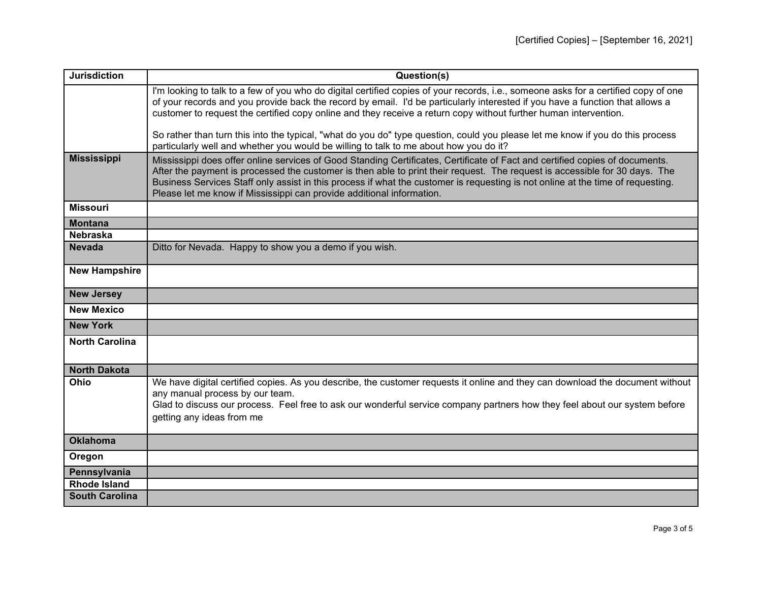| <b>Jurisdiction</b>   | Question(s)                                                                                                                                                                                                                                                                                                                                                                                                                                                             |
|-----------------------|-------------------------------------------------------------------------------------------------------------------------------------------------------------------------------------------------------------------------------------------------------------------------------------------------------------------------------------------------------------------------------------------------------------------------------------------------------------------------|
|                       | I'm looking to talk to a few of you who do digital certified copies of your records, i.e., someone asks for a certified copy of one<br>of your records and you provide back the record by email. I'd be particularly interested if you have a function that allows a                                                                                                                                                                                                    |
|                       | customer to request the certified copy online and they receive a return copy without further human intervention.                                                                                                                                                                                                                                                                                                                                                        |
|                       | So rather than turn this into the typical, "what do you do" type question, could you please let me know if you do this process<br>particularly well and whether you would be willing to talk to me about how you do it?                                                                                                                                                                                                                                                 |
| <b>Mississippi</b>    | Mississippi does offer online services of Good Standing Certificates, Certificate of Fact and certified copies of documents.<br>After the payment is processed the customer is then able to print their request. The request is accessible for 30 days. The<br>Business Services Staff only assist in this process if what the customer is requesting is not online at the time of requesting.<br>Please let me know if Mississippi can provide additional information. |
| <b>Missouri</b>       |                                                                                                                                                                                                                                                                                                                                                                                                                                                                         |
| <b>Montana</b>        |                                                                                                                                                                                                                                                                                                                                                                                                                                                                         |
| <b>Nebraska</b>       |                                                                                                                                                                                                                                                                                                                                                                                                                                                                         |
| <b>Nevada</b>         | Ditto for Nevada. Happy to show you a demo if you wish.                                                                                                                                                                                                                                                                                                                                                                                                                 |
| <b>New Hampshire</b>  |                                                                                                                                                                                                                                                                                                                                                                                                                                                                         |
| <b>New Jersey</b>     |                                                                                                                                                                                                                                                                                                                                                                                                                                                                         |
| <b>New Mexico</b>     |                                                                                                                                                                                                                                                                                                                                                                                                                                                                         |
| <b>New York</b>       |                                                                                                                                                                                                                                                                                                                                                                                                                                                                         |
| <b>North Carolina</b> |                                                                                                                                                                                                                                                                                                                                                                                                                                                                         |
| <b>North Dakota</b>   |                                                                                                                                                                                                                                                                                                                                                                                                                                                                         |
| Ohio                  | We have digital certified copies. As you describe, the customer requests it online and they can download the document without<br>any manual process by our team.<br>Glad to discuss our process. Feel free to ask our wonderful service company partners how they feel about our system before<br>getting any ideas from me                                                                                                                                             |
| <b>Oklahoma</b>       |                                                                                                                                                                                                                                                                                                                                                                                                                                                                         |
| Oregon                |                                                                                                                                                                                                                                                                                                                                                                                                                                                                         |
| Pennsylvania          |                                                                                                                                                                                                                                                                                                                                                                                                                                                                         |
| <b>Rhode Island</b>   |                                                                                                                                                                                                                                                                                                                                                                                                                                                                         |
| <b>South Carolina</b> |                                                                                                                                                                                                                                                                                                                                                                                                                                                                         |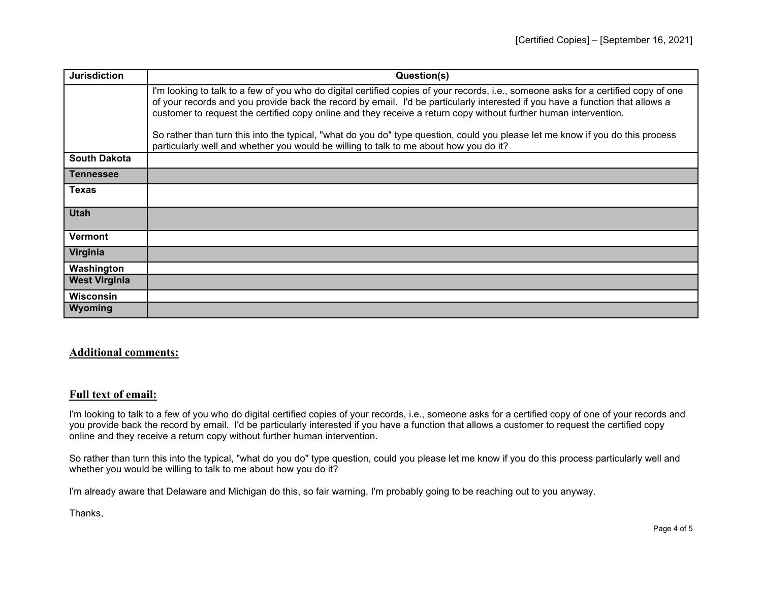| <b>Jurisdiction</b>  | Question(s)                                                                                                                                                                                                                                                                                                                                                                                                                                                                                                                |
|----------------------|----------------------------------------------------------------------------------------------------------------------------------------------------------------------------------------------------------------------------------------------------------------------------------------------------------------------------------------------------------------------------------------------------------------------------------------------------------------------------------------------------------------------------|
|                      | I'm looking to talk to a few of you who do digital certified copies of your records, i.e., someone asks for a certified copy of one<br>of your records and you provide back the record by email. I'd be particularly interested if you have a function that allows a<br>customer to request the certified copy online and they receive a return copy without further human intervention.<br>So rather than turn this into the typical, "what do you do" type question, could you please let me know if you do this process |
|                      | particularly well and whether you would be willing to talk to me about how you do it?                                                                                                                                                                                                                                                                                                                                                                                                                                      |
| <b>South Dakota</b>  |                                                                                                                                                                                                                                                                                                                                                                                                                                                                                                                            |
| Tennessee            |                                                                                                                                                                                                                                                                                                                                                                                                                                                                                                                            |
| <b>Texas</b>         |                                                                                                                                                                                                                                                                                                                                                                                                                                                                                                                            |
| <b>Utah</b>          |                                                                                                                                                                                                                                                                                                                                                                                                                                                                                                                            |
| <b>Vermont</b>       |                                                                                                                                                                                                                                                                                                                                                                                                                                                                                                                            |
| Virginia             |                                                                                                                                                                                                                                                                                                                                                                                                                                                                                                                            |
| Washington           |                                                                                                                                                                                                                                                                                                                                                                                                                                                                                                                            |
| <b>West Virginia</b> |                                                                                                                                                                                                                                                                                                                                                                                                                                                                                                                            |
| <b>Wisconsin</b>     |                                                                                                                                                                                                                                                                                                                                                                                                                                                                                                                            |
| Wyoming              |                                                                                                                                                                                                                                                                                                                                                                                                                                                                                                                            |

## **Additional comments:**

## **Full text of email:**

I'm looking to talk to a few of you who do digital certified copies of your records, i.e., someone asks for a certified copy of one of your records and you provide back the record by email. I'd be particularly interested if you have a function that allows a customer to request the certified copy online and they receive a return copy without further human intervention.

So rather than turn this into the typical, "what do you do" type question, could you please let me know if you do this process particularly well and whether you would be willing to talk to me about how you do it?

I'm already aware that Delaware and Michigan do this, so fair warning, I'm probably going to be reaching out to you anyway.

Thanks,